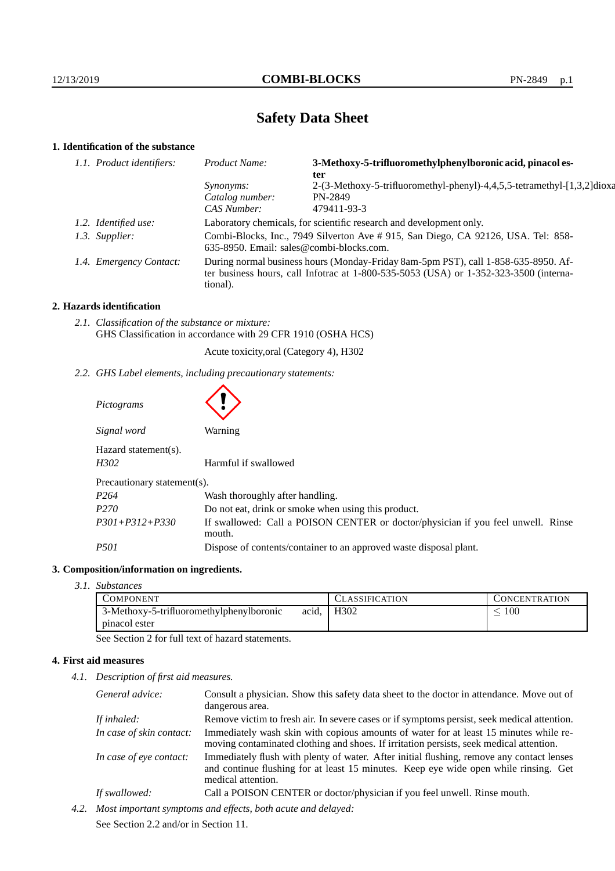# **Safety Data Sheet**

# **1. Identification of the substance**

| 1.1. Product identifiers: | Product Name:                                                                                                                                                                               | 3-Methoxy-5-trifluoromethylphenylboronic acid, pinacol es-<br>ter       |  |
|---------------------------|---------------------------------------------------------------------------------------------------------------------------------------------------------------------------------------------|-------------------------------------------------------------------------|--|
|                           | <i>Synonyms:</i>                                                                                                                                                                            | 2-(3-Methoxy-5-trifluoromethyl-phenyl)-4,4,5,5-tetramethyl-[1,3,2]dioxa |  |
|                           | Catalog number:                                                                                                                                                                             | PN-2849                                                                 |  |
|                           | CAS Number:                                                                                                                                                                                 | 479411-93-3                                                             |  |
| 1.2. Identified use:      | Laboratory chemicals, for scientific research and development only.                                                                                                                         |                                                                         |  |
| 1.3. Supplier:            | Combi-Blocks, Inc., 7949 Silverton Ave # 915, San Diego, CA 92126, USA. Tel: 858-<br>635-8950. Email: sales@combi-blocks.com.                                                               |                                                                         |  |
| 1.4. Emergency Contact:   | During normal business hours (Monday-Friday 8am-5pm PST), call 1-858-635-8950. Af-<br>ter business hours, call Infotrac at $1-800-535-5053$ (USA) or $1-352-323-3500$ (interna-<br>tional). |                                                                         |  |

## **2. Hazards identification**

*2.1. Classification of the substance or mixture:* GHS Classification in accordance with 29 CFR 1910 (OSHA HCS)

Acute toxicity,oral (Category 4), H302

*2.2. GHS Label elements, including precautionary statements:*

| Pictograms                   |                                                                                            |  |  |
|------------------------------|--------------------------------------------------------------------------------------------|--|--|
| Signal word                  | <b>Warning</b>                                                                             |  |  |
| Hazard statement(s).<br>H302 | Harmful if swallowed                                                                       |  |  |
| Precautionary statement(s).  |                                                                                            |  |  |
| P <sub>264</sub>             | Wash thoroughly after handling.                                                            |  |  |
| P <sub>270</sub>             | Do not eat, drink or smoke when using this product.                                        |  |  |
| $P301 + P312 + P330$         | If swallowed: Call a POISON CENTER or doctor/physician if you feel unwell. Rinse<br>mouth. |  |  |
| <i>P501</i>                  | Dispose of contents/container to an approved waste disposal plant.                         |  |  |

## **3. Composition/information on ingredients.**

*3.1. Substances*

| COMPONENT                                |       | CLASSIFICATION    | CONCENTRATION. |
|------------------------------------------|-------|-------------------|----------------|
| 3-Methoxy-5-trifluoromethylphenylboronic | acid. | H <sub>3</sub> 02 | $100\,$        |
| pinacol ester                            |       |                   |                |

See Section 2 for full text of hazard statements.

## **4. First aid measures**

*4.1. Description of first aid measures.*

| General advice:          | Consult a physician. Show this safety data sheet to the doctor in attendance. Move out of<br>dangerous area.                                                                                            |
|--------------------------|---------------------------------------------------------------------------------------------------------------------------------------------------------------------------------------------------------|
| If inhaled:              | Remove victim to fresh air. In severe cases or if symptoms persist, seek medical attention.                                                                                                             |
| In case of skin contact: | Immediately wash skin with copious amounts of water for at least 15 minutes while re-<br>moving contaminated clothing and shoes. If irritation persists, seek medical attention.                        |
| In case of eye contact:  | Immediately flush with plenty of water. After initial flushing, remove any contact lenses<br>and continue flushing for at least 15 minutes. Keep eye wide open while rinsing. Get<br>medical attention. |
| If swallowed:            | Call a POISON CENTER or doctor/physician if you feel unwell. Rinse mouth.                                                                                                                               |

*4.2. Most important symptoms and effects, both acute and delayed:* See Section 2.2 and/or in Section 11.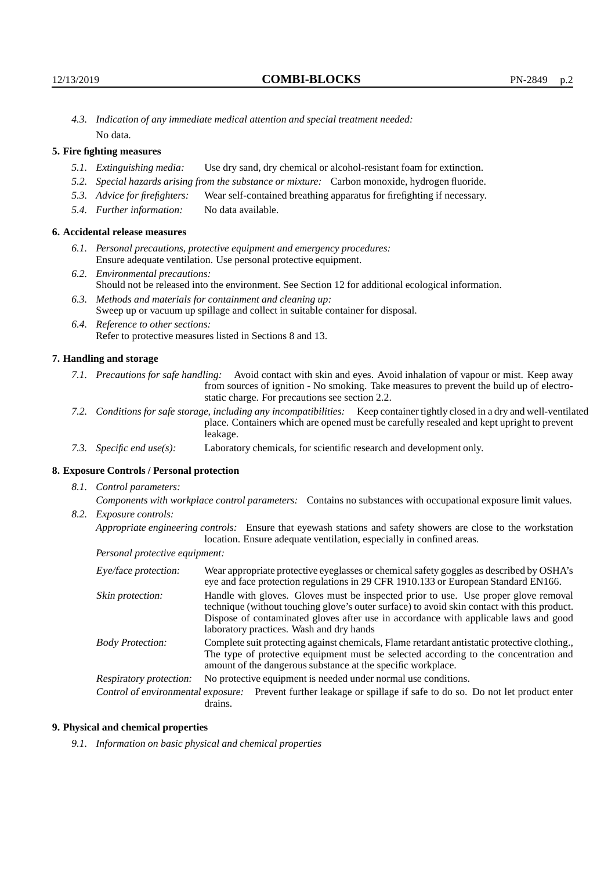*4.3. Indication of any immediate medical attention and special treatment needed:* No data.

## **5. Fire fighting measures**

- *5.1. Extinguishing media:* Use dry sand, dry chemical or alcohol-resistant foam for extinction.
- *5.2. Special hazards arising from the substance or mixture:* Carbon monoxide, hydrogen fluoride.
- *5.3. Advice for firefighters:* Wear self-contained breathing apparatus for firefighting if necessary.
- *5.4. Further information:* No data available.

## **6. Accidental release measures**

- *6.1. Personal precautions, protective equipment and emergency procedures:* Ensure adequate ventilation. Use personal protective equipment.
- *6.2. Environmental precautions:* Should not be released into the environment. See Section 12 for additional ecological information.
- *6.3. Methods and materials for containment and cleaning up:* Sweep up or vacuum up spillage and collect in suitable container for disposal.
- *6.4. Reference to other sections:* Refer to protective measures listed in Sections 8 and 13.

#### **7. Handling and storage**

- *7.1. Precautions for safe handling:* Avoid contact with skin and eyes. Avoid inhalation of vapour or mist. Keep away from sources of ignition - No smoking. Take measures to prevent the build up of electrostatic charge. For precautions see section 2.2.
- *7.2. Conditions for safe storage, including any incompatibilities:* Keep container tightly closed in a dry and well-ventilated place. Containers which are opened must be carefully resealed and kept upright to prevent leakage.
- *7.3. Specific end use(s):* Laboratory chemicals, for scientific research and development only.

#### **8. Exposure Controls / Personal protection**

*8.1. Control parameters:*

*Components with workplace control parameters:* Contains no substances with occupational exposure limit values. *8.2. Exposure controls:*

*Appropriate engineering controls:* Ensure that eyewash stations and safety showers are close to the workstation location. Ensure adequate ventilation, especially in confined areas.

*Personal protective equipment:*

| Eye/face protection:    | Wear appropriate protective eyeglasses or chemical safety goggles as described by OSHA's<br>eye and face protection regulations in 29 CFR 1910.133 or European Standard EN166.                                                                                                                                         |  |  |
|-------------------------|------------------------------------------------------------------------------------------------------------------------------------------------------------------------------------------------------------------------------------------------------------------------------------------------------------------------|--|--|
| Skin protection:        | Handle with gloves. Gloves must be inspected prior to use. Use proper glove removal<br>technique (without touching glove's outer surface) to avoid skin contact with this product.<br>Dispose of contaminated gloves after use in accordance with applicable laws and good<br>laboratory practices. Wash and dry hands |  |  |
| <b>Body Protection:</b> | Complete suit protecting against chemicals, Flame retardant antistatic protective clothing.,<br>The type of protective equipment must be selected according to the concentration and<br>amount of the dangerous substance at the specific workplace.                                                                   |  |  |
| Respiratory protection: | No protective equipment is needed under normal use conditions.                                                                                                                                                                                                                                                         |  |  |
|                         | Control of environmental exposure: Prevent further leakage or spillage if safe to do so. Do not let product enter<br>drains.                                                                                                                                                                                           |  |  |

#### **9. Physical and chemical properties**

*9.1. Information on basic physical and chemical properties*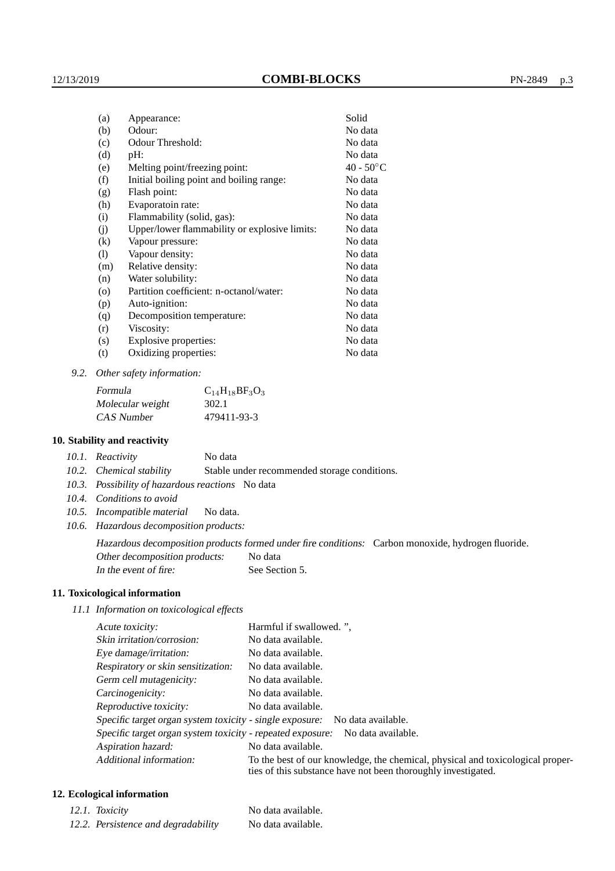| (a)      | Appearance:                                   | Solid        |
|----------|-----------------------------------------------|--------------|
| (b)      | Odour:                                        | No data      |
| (c)      | Odour Threshold:                              | No data      |
| (d)      | $pH$ :                                        | No data      |
| (e)      | Melting point/freezing point:                 | $40 - 50$ °C |
| (f)      | Initial boiling point and boiling range:      | No data      |
| (g)      | Flash point:                                  | No data      |
| (h)      | Evaporatoin rate:                             | No data      |
| (i)      | Flammability (solid, gas):                    | No data      |
| (j)      | Upper/lower flammability or explosive limits: | No data      |
| $\rm(k)$ | Vapour pressure:                              | No data      |
| (1)      | Vapour density:                               | No data      |
| (m)      | Relative density:                             | No data      |
| (n)      | Water solubility:                             | No data      |
| $\circ$  | Partition coefficient: n-octanol/water:       | No data      |
| (p)      | Auto-ignition:                                | No data      |
| (q)      | Decomposition temperature:                    | No data      |
| (r)      | Viscosity:                                    | No data      |
| (s)      | Explosive properties:                         | No data      |
| (t)      | Oxidizing properties:                         | No data      |

*9.2. Other safety information:*

| Formula          | $C_{14}H_{18}BF_3O_3$ |
|------------------|-----------------------|
| Molecular weight | 302.1                 |
| CAS Number       | 479411-93-3           |

#### **10. Stability and reactivity**

| 10.1. Reactivity | No data |
|------------------|---------|
|                  |         |

*10.2. Chemical stability* Stable under recommended storage conditions.

- *10.3. Possibility of hazardous reactions* No data
- *10.4. Conditions to avoid*
- *10.5. Incompatible material* No data.
- *10.6. Hazardous decomposition products:*

Hazardous decomposition products formed under fire conditions: Carbon monoxide, hydrogen fluoride. Other decomposition products: No data

In the event of fire: See Section 5.

## **11. Toxicological information**

*11.1 Information on toxicological effects*

| Acute toxicity:                                                                  | Harmful if swallowed.",                                                                                                                         |  |  |
|----------------------------------------------------------------------------------|-------------------------------------------------------------------------------------------------------------------------------------------------|--|--|
| Skin irritation/corrosion:                                                       | No data available.                                                                                                                              |  |  |
| Eye damage/irritation:                                                           | No data available.                                                                                                                              |  |  |
| Respiratory or skin sensitization:                                               | No data available.                                                                                                                              |  |  |
| Germ cell mutagenicity:                                                          | No data available.                                                                                                                              |  |  |
| Carcinogenicity:                                                                 | No data available.                                                                                                                              |  |  |
| Reproductive toxicity:                                                           | No data available.                                                                                                                              |  |  |
| Specific target organ system toxicity - single exposure: No data available.      |                                                                                                                                                 |  |  |
| Specific target organ system toxicity - repeated exposure:<br>No data available. |                                                                                                                                                 |  |  |
| Aspiration hazard:                                                               | No data available.                                                                                                                              |  |  |
| Additional information:                                                          | To the best of our knowledge, the chemical, physical and toxicological proper-<br>ties of this substance have not been thoroughly investigated. |  |  |

## **12. Ecological information**

| 12.1. Toxicity                      | No data available. |
|-------------------------------------|--------------------|
| 12.2. Persistence and degradability | No data available. |